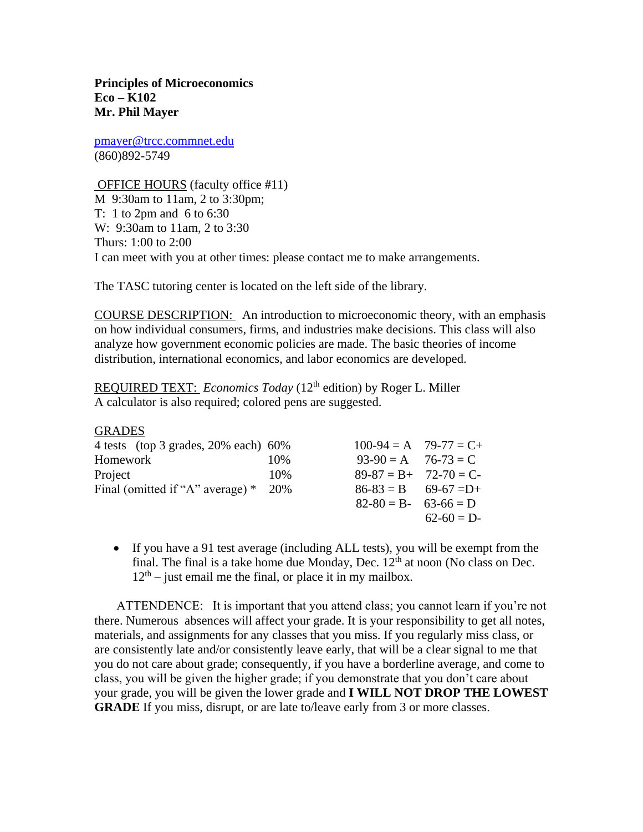**Principles of Microeconomics Eco – K102 Mr. Phil Mayer**

[pmayer@trcc.commnet.edu](mailto:pmayer@trcc.commnet.edu) (860)892-5749

GRADES

OFFICE HOURS (faculty office #11) M 9:30am to 11am, 2 to 3:30pm; T: 1 to 2pm and 6 to 6:30 W: 9:30am to 11am, 2 to 3:30 Thurs: 1:00 to 2:00 I can meet with you at other times: please contact me to make arrangements.

The TASC tutoring center is located on the left side of the library.

COURSE DESCRIPTION: An introduction to microeconomic theory, with an emphasis on how individual consumers, firms, and industries make decisions. This class will also analyze how government economic policies are made. The basic theories of income distribution, international economics, and labor economics are developed.

REQUIRED TEXT: *Economics Today* (12<sup>th</sup> edition) by Roger L. Miller A calculator is also required; colored pens are suggested.

| <b>UNADL')</b>                          |     |                         |             |
|-----------------------------------------|-----|-------------------------|-------------|
| 4 tests (top 3 grades, $20\%$ each) 60% |     | $100-94 = A$ 79-77 = C+ |             |
| Homework                                | 10% | $93-90 = A$ $76-73 = C$ |             |
| Project                                 | 10% | $89-87 = B + 72-70 = C$ |             |
| Final (omitted if "A" average) $*$ 20%  |     | $86-83 = B$ 69-67 = D+  |             |
|                                         |     | $82-80 = B - 63-66 = D$ |             |
|                                         |     |                         | $62-60 = D$ |
|                                         |     |                         |             |

 If you have a 91 test average (including ALL tests), you will be exempt from the final. The final is a take home due Monday, Dec.  $12<sup>th</sup>$  at noon (No class on Dec.  $12<sup>th</sup>$  – just email me the final, or place it in my mailbox.

 ATTENDENCE: It is important that you attend class; you cannot learn if you're not there. Numerous absences will affect your grade. It is your responsibility to get all notes, materials, and assignments for any classes that you miss. If you regularly miss class, or are consistently late and/or consistently leave early, that will be a clear signal to me that you do not care about grade; consequently, if you have a borderline average, and come to class, you will be given the higher grade; if you demonstrate that you don't care about your grade, you will be given the lower grade and **I WILL NOT DROP THE LOWEST GRADE** If you miss, disrupt, or are late to/leave early from 3 or more classes.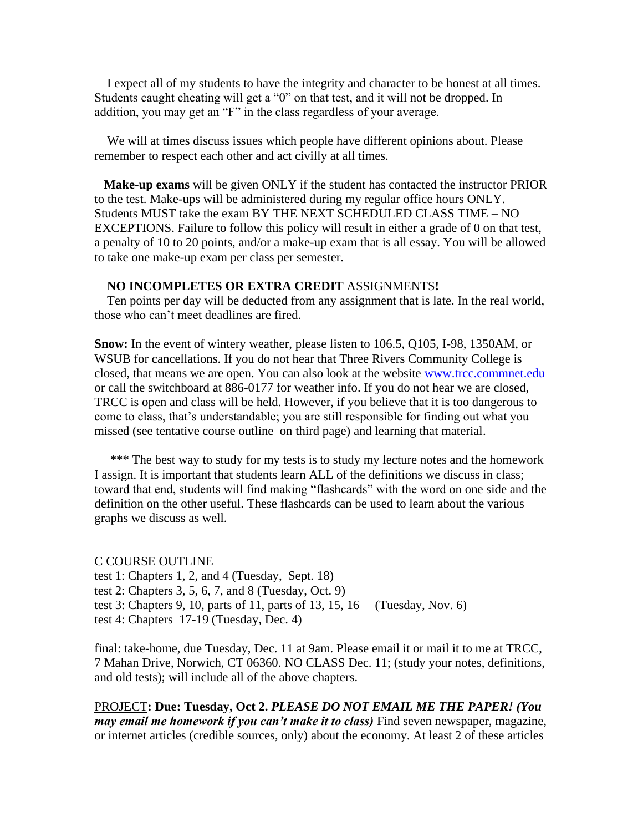I expect all of my students to have the integrity and character to be honest at all times. Students caught cheating will get a "0" on that test, and it will not be dropped. In addition, you may get an "F" in the class regardless of your average.

 We will at times discuss issues which people have different opinions about. Please remember to respect each other and act civilly at all times.

 **Make-up exams** will be given ONLY if the student has contacted the instructor PRIOR to the test. Make-ups will be administered during my regular office hours ONLY. Students MUST take the exam BY THE NEXT SCHEDULED CLASS TIME – NO EXCEPTIONS. Failure to follow this policy will result in either a grade of 0 on that test, a penalty of 10 to 20 points, and/or a make-up exam that is all essay. You will be allowed to take one make-up exam per class per semester.

## **NO INCOMPLETES OR EXTRA CREDIT** ASSIGNMENTS**!**

 Ten points per day will be deducted from any assignment that is late. In the real world, those who can't meet deadlines are fired.

**Snow:** In the event of wintery weather, please listen to 106.5, Q105, I-98, 1350AM, or WSUB for cancellations. If you do not hear that Three Rivers Community College is closed, that means we are open. You can also look at the website [www.trcc.commnet.edu](http://www.trcc.commnet.edu/) or call the switchboard at 886-0177 for weather info. If you do not hear we are closed, TRCC is open and class will be held. However, if you believe that it is too dangerous to come to class, that's understandable; you are still responsible for finding out what you missed (see tentative course outline on third page) and learning that material.

\*\*\* The best way to study for my tests is to study my lecture notes and the homework I assign. It is important that students learn ALL of the definitions we discuss in class; toward that end, students will find making "flashcards" with the word on one side and the definition on the other useful. These flashcards can be used to learn about the various graphs we discuss as well.

C COURSE OUTLINE test 1: Chapters 1, 2, and 4 (Tuesday, Sept. 18) test 2: Chapters 3, 5, 6, 7, and 8 (Tuesday, Oct. 9) test 3: Chapters 9, 10, parts of 11, parts of 13, 15, 16 (Tuesday, Nov. 6) test 4: Chapters 17-19 (Tuesday, Dec. 4)

final: take-home, due Tuesday, Dec. 11 at 9am. Please email it or mail it to me at TRCC, 7 Mahan Drive, Norwich, CT 06360. NO CLASS Dec. 11; (study your notes, definitions, and old tests); will include all of the above chapters.

PROJECT**: Due: Tuesday, Oct 2.** *PLEASE DO NOT EMAIL ME THE PAPER! (You may email me homework if you can't make it to class*) Find seven newspaper, magazine, or internet articles (credible sources, only) about the economy. At least 2 of these articles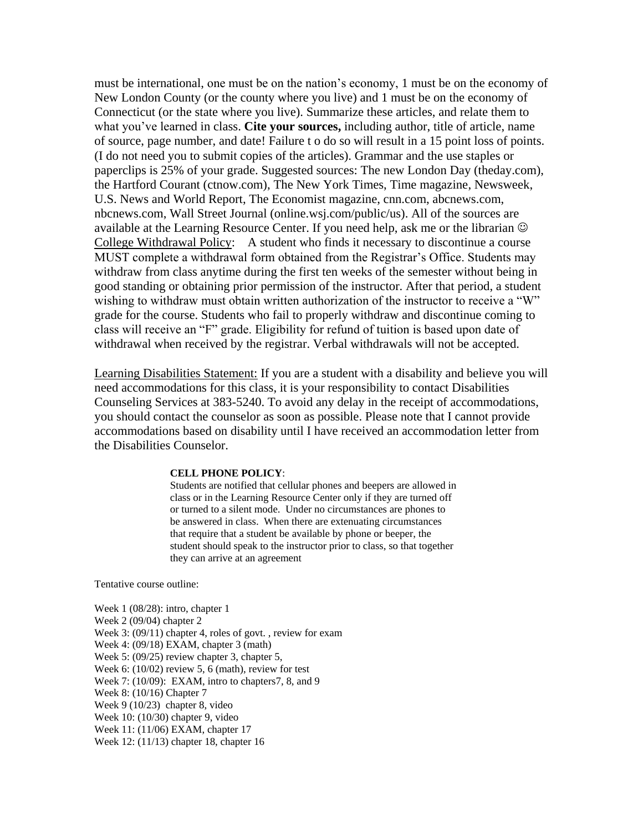must be international, one must be on the nation's economy, 1 must be on the economy of New London County (or the county where you live) and 1 must be on the economy of Connecticut (or the state where you live). Summarize these articles, and relate them to what you've learned in class. **Cite your sources,** including author, title of article, name of source, page number, and date! Failure t o do so will result in a 15 point loss of points. (I do not need you to submit copies of the articles). Grammar and the use staples or paperclips is 25% of your grade. Suggested sources: The new London Day (theday.com), the Hartford Courant (ctnow.com), The New York Times, Time magazine, Newsweek, U.S. News and World Report, The Economist magazine, cnn.com, abcnews.com, nbcnews.com, Wall Street Journal (online.wsj.com/public/us). All of the sources are available at the Learning Resource Center. If you need help, ask me or the librarian  $\odot$ College Withdrawal Policy: A student who finds it necessary to discontinue a course MUST complete a withdrawal form obtained from the Registrar's Office. Students may withdraw from class anytime during the first ten weeks of the semester without being in good standing or obtaining prior permission of the instructor. After that period, a student wishing to withdraw must obtain written authorization of the instructor to receive a "W" grade for the course. Students who fail to properly withdraw and discontinue coming to class will receive an "F" grade. Eligibility for refund of tuition is based upon date of withdrawal when received by the registrar. Verbal withdrawals will not be accepted.

Learning Disabilities Statement: If you are a student with a disability and believe you will need accommodations for this class, it is your responsibility to contact Disabilities Counseling Services at 383-5240. To avoid any delay in the receipt of accommodations, you should contact the counselor as soon as possible. Please note that I cannot provide accommodations based on disability until I have received an accommodation letter from the Disabilities Counselor.

## **CELL PHONE POLICY**:

Students are notified that cellular phones and beepers are allowed in class or in the Learning Resource Center only if they are turned off or turned to a silent mode. Under no circumstances are phones to be answered in class. When there are extenuating circumstances that require that a student be available by phone or beeper, the student should speak to the instructor prior to class, so that together they can arrive at an agreement

Tentative course outline:

Week 1 (08/28): intro, chapter 1 Week 2 (09/04) chapter 2 Week 3: (09/11) chapter 4, roles of govt., review for exam Week 4: (09/18) EXAM, chapter 3 (math) Week 5: (09/25) review chapter 3, chapter 5, Week 6: (10/02) review 5, 6 (math), review for test Week 7: (10/09): EXAM, intro to chapters7, 8, and 9 Week 8: (10/16) Chapter 7 Week 9 (10/23) chapter 8, video Week 10: (10/30) chapter 9, video Week 11: (11/06) EXAM, chapter 17 Week 12: (11/13) chapter 18, chapter 16